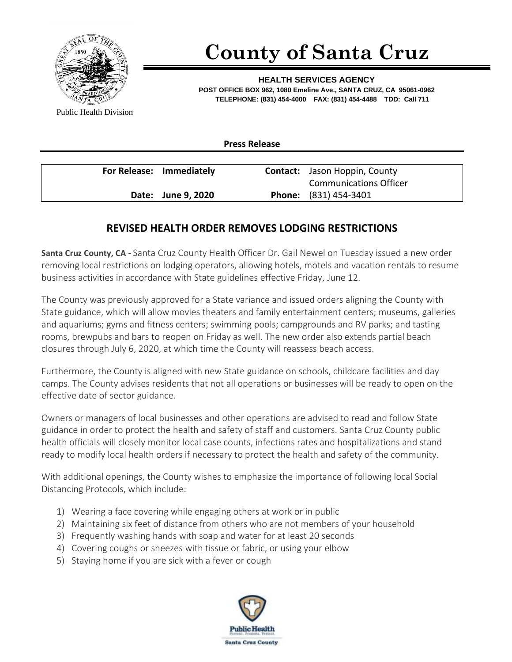

## **County of Santa Cruz**

**HEALTH SERVICES AGENCY POST OFFICE BOX 962, 1080 Emeline Ave., SANTA CRUZ, CA 95061-0962 TELEPHONE: (831) 454-4000 FAX: (831) 454-4488 TDD: Call 711**

Public Health Division

**Press Release**

| For Release: Immediately | <b>Contact:</b> Jason Hoppin, County |
|--------------------------|--------------------------------------|
|                          | <b>Communications Officer</b>        |
| Date: June 9, 2020       | <b>Phone:</b> (831) 454-3401         |

## **REVISED HEALTH ORDER REMOVES LODGING RESTRICTIONS**

**Santa Cruz County, CA -** Santa Cruz County Health Officer Dr. Gail Newel on Tuesday issued a new order removing local restrictions on lodging operators, allowing hotels, motels and vacation rentals to resume business activities in accordance with State guidelines effective Friday, June 12.

The County was previously approved for a State variance and issued orders aligning the County with State guidance, which will allow movies theaters and family entertainment centers; museums, galleries and aquariums; gyms and fitness centers; swimming pools; campgrounds and RV parks; and tasting rooms, brewpubs and bars to reopen on Friday as well. The new order also extends partial beach closures through July 6, 2020, at which time the County will reassess beach access.

Furthermore, the County is aligned with new State guidance on schools, childcare facilities and day camps. The County advises residents that not all operations or businesses will be ready to open on the effective date of sector guidance.

Owners or managers of local businesses and other operations are advised to read and follow State guidance in order to protect the health and safety of staff and customers. Santa Cruz County public health officials will closely monitor local case counts, infections rates and hospitalizations and stand ready to modify local health orders if necessary to protect the health and safety of the community.

With additional openings, the County wishes to emphasize the importance of following local Social Distancing Protocols, which include:

- 1) Wearing a face covering while engaging others at work or in public
- 2) Maintaining six feet of distance from others who are not members of your household
- 3) Frequently washing hands with soap and water for at least 20 seconds
- 4) Covering coughs or sneezes with tissue or fabric, or using your elbow
- 5) Staying home if you are sick with a fever or cough